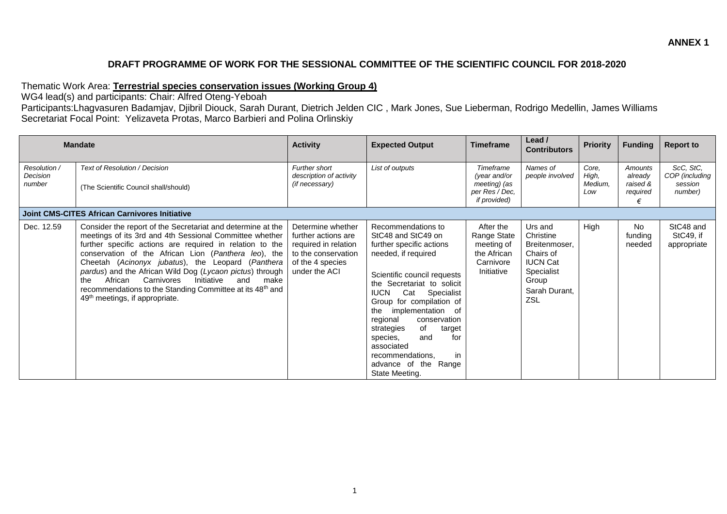## **DRAFT PROGRAMME OF WORK FOR THE SESSIONAL COMMITTEE OF THE SCIENTIFIC COUNCIL FOR 2018-2020**

## Thematic Work Area: **Terrestrial species conservation issues (Working Group 4)**

WG4 lead(s) and participants: Chair: Alfred Oteng-Yeboah

Participants:Lhagvasuren Badamjav, Djibril Diouck, Sarah Durant, Dietrich Jelden CIC , Mark Jones, Sue Lieberman, Rodrigo Medellin, James Williams Secretariat Focal Point: Yelizaveta Protas, Marco Barbieri and Polina Orlinskiy

| <b>Mandate</b>                            |                                                                                                                                                                                                                                                                                                                                                                                                                                                                                                                                     | <b>Activity</b>                                                                                                              | <b>Expected Output</b>                                                                                                                                                                                                                                                                                                                                                                                                               | <b>Timeframe</b>                                                                 | Lead /<br><b>Contributors</b>                                                                                        | <b>Priority</b>                  | <b>Funding</b>                                  | <b>Report to</b>                                  |
|-------------------------------------------|-------------------------------------------------------------------------------------------------------------------------------------------------------------------------------------------------------------------------------------------------------------------------------------------------------------------------------------------------------------------------------------------------------------------------------------------------------------------------------------------------------------------------------------|------------------------------------------------------------------------------------------------------------------------------|--------------------------------------------------------------------------------------------------------------------------------------------------------------------------------------------------------------------------------------------------------------------------------------------------------------------------------------------------------------------------------------------------------------------------------------|----------------------------------------------------------------------------------|----------------------------------------------------------------------------------------------------------------------|----------------------------------|-------------------------------------------------|---------------------------------------------------|
| Resolution /<br><b>Decision</b><br>number | Text of Resolution / Decision<br>(The Scientific Council shall/should)                                                                                                                                                                                                                                                                                                                                                                                                                                                              | Further short<br>description of activity<br>(if necessary)                                                                   | List of outputs                                                                                                                                                                                                                                                                                                                                                                                                                      | Timeframe<br>(year and/or<br>meeting) (as<br>per Res / Dec,<br>if provided)      | Names of<br>people involved                                                                                          | Core.<br>High,<br>Medium,<br>Low | Amounts<br>already<br>raised &<br>required<br>€ | ScC, StC,<br>COP (including<br>session<br>number) |
|                                           | Joint CMS-CITES African Carnivores Initiative                                                                                                                                                                                                                                                                                                                                                                                                                                                                                       |                                                                                                                              |                                                                                                                                                                                                                                                                                                                                                                                                                                      |                                                                                  |                                                                                                                      |                                  |                                                 |                                                   |
| Dec. 12.59                                | Consider the report of the Secretariat and determine at the<br>meetings of its 3rd and 4th Sessional Committee whether<br>further specific actions are required in relation to the<br>conservation of the African Lion (Panthera leo), the<br>Cheetah (Acinonyx jubatus), the Leopard (Panthera<br>pardus) and the African Wild Dog (Lycaon pictus) through<br>African<br>Carnivores<br>Initiative<br>the<br>and<br>make<br>recommendations to the Standing Committee at its 48th and<br>49 <sup>th</sup> meetings, if appropriate. | Determine whether<br>further actions are<br>required in relation<br>to the conservation<br>of the 4 species<br>under the ACI | Recommendations to<br>StC48 and StC49 on<br>further specific actions<br>needed, if required<br>Scientific council requests<br>the Secretariat to solicit<br>Specialist<br><b>IUCN</b><br>Cat<br>Group for compilation of<br>implementation<br>of<br>the<br>regional<br>conservation<br>of<br>strategies<br>target<br>for<br>species,<br>and<br>associated<br>recommendations,<br>in.<br>advance of<br>the<br>Range<br>State Meeting. | After the<br>Range State<br>meeting of<br>the African<br>Carnivore<br>Initiative | Urs and<br>Christine<br>Breitenmoser,<br>Chairs of<br><b>IUCN Cat</b><br>Specialist<br>Group<br>Sarah Durant,<br>ZSL | High                             | <b>No</b><br>funding<br>needed                  | StC48 and<br>StC49, if<br>appropriate             |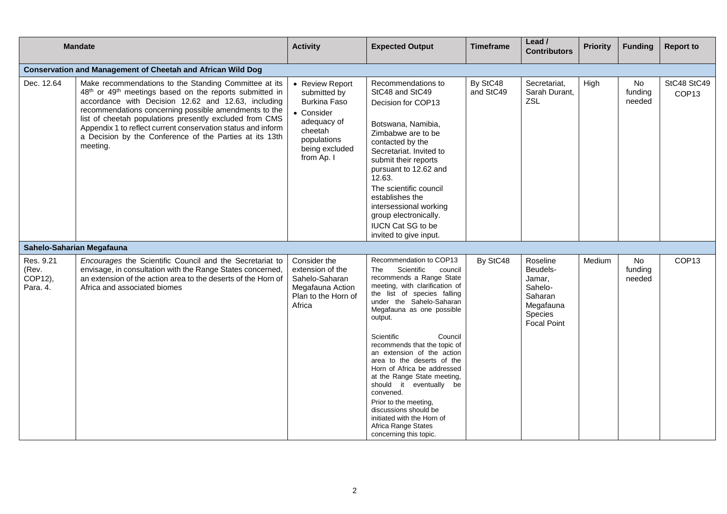| <b>Mandate</b>                            |                                                                                                                                                                                                                                                                                                                                                                                                                                                            | <b>Activity</b>                                                                                                                        | <b>Expected Output</b>                                                                                                                                                                                                                                                                                                                                                                                                                                                                                                                                                               | <b>Timeframe</b>      | Lead /<br><b>Contributors</b>                                                                      | <b>Priority</b> | <b>Funding</b>                 | <b>Report to</b>                 |
|-------------------------------------------|------------------------------------------------------------------------------------------------------------------------------------------------------------------------------------------------------------------------------------------------------------------------------------------------------------------------------------------------------------------------------------------------------------------------------------------------------------|----------------------------------------------------------------------------------------------------------------------------------------|--------------------------------------------------------------------------------------------------------------------------------------------------------------------------------------------------------------------------------------------------------------------------------------------------------------------------------------------------------------------------------------------------------------------------------------------------------------------------------------------------------------------------------------------------------------------------------------|-----------------------|----------------------------------------------------------------------------------------------------|-----------------|--------------------------------|----------------------------------|
|                                           | <b>Conservation and Management of Cheetah and African Wild Dog</b>                                                                                                                                                                                                                                                                                                                                                                                         |                                                                                                                                        |                                                                                                                                                                                                                                                                                                                                                                                                                                                                                                                                                                                      |                       |                                                                                                    |                 |                                |                                  |
| Dec. 12.64                                | Make recommendations to the Standing Committee at its<br>48 <sup>th</sup> or 49 <sup>th</sup> meetings based on the reports submitted in<br>accordance with Decision 12.62 and 12.63, including<br>recommendations concerning possible amendments to the<br>list of cheetah populations presently excluded from CMS<br>Appendix 1 to reflect current conservation status and inform<br>a Decision by the Conference of the Parties at its 13th<br>meeting. | • Review Report<br>submitted by<br>Burkina Faso<br>• Consider<br>adequacy of<br>cheetah<br>populations<br>being excluded<br>from Ap. I | Recommendations to<br>StC48 and StC49<br>Decision for COP13<br>Botswana, Namibia,<br>Zimbabwe are to be<br>contacted by the<br>Secretariat. Invited to<br>submit their reports<br>pursuant to 12.62 and<br>12.63.<br>The scientific council<br>establishes the<br>intersessional working<br>group electronically.<br><b>IUCN Cat SG to be</b><br>invited to give input.                                                                                                                                                                                                              | By StC48<br>and StC49 | Secretariat,<br>Sarah Durant,<br>ZSL                                                               | High            | No<br>funding<br>needed        | StC48 StC49<br>COP <sub>13</sub> |
|                                           | Sahelo-Saharian Megafauna                                                                                                                                                                                                                                                                                                                                                                                                                                  |                                                                                                                                        |                                                                                                                                                                                                                                                                                                                                                                                                                                                                                                                                                                                      |                       |                                                                                                    |                 |                                |                                  |
| Res. 9.21<br>(Rev.<br>COP12),<br>Para. 4. | Encourages the Scientific Council and the Secretariat to<br>envisage, in consultation with the Range States concerned,<br>an extension of the action area to the deserts of the Horn of<br>Africa and associated biomes                                                                                                                                                                                                                                    | Consider the<br>extension of the<br>Sahelo-Saharan<br>Megafauna Action<br>Plan to the Horn of<br>Africa                                | Recommendation to COP13<br>Scientific<br>The<br>council<br>recommends a Range State<br>meeting, with clarification of<br>the list of species falling<br>under the Sahelo-Saharan<br>Megafauna as one possible<br>output.<br>Council<br>Scientific<br>recommends that the topic of<br>an extension of the action<br>area to the deserts of the<br>Horn of Africa be addressed<br>at the Range State meeting,<br>should it eventually be<br>convened.<br>Prior to the meeting,<br>discussions should be<br>initiated with the Horn of<br>Africa Range States<br>concerning this topic. | By StC48              | Roseline<br>Beudels-<br>Jamar,<br>Sahelo-<br>Saharan<br>Megafauna<br>Species<br><b>Focal Point</b> | Medium          | <b>No</b><br>fundina<br>needed | COP <sub>13</sub>                |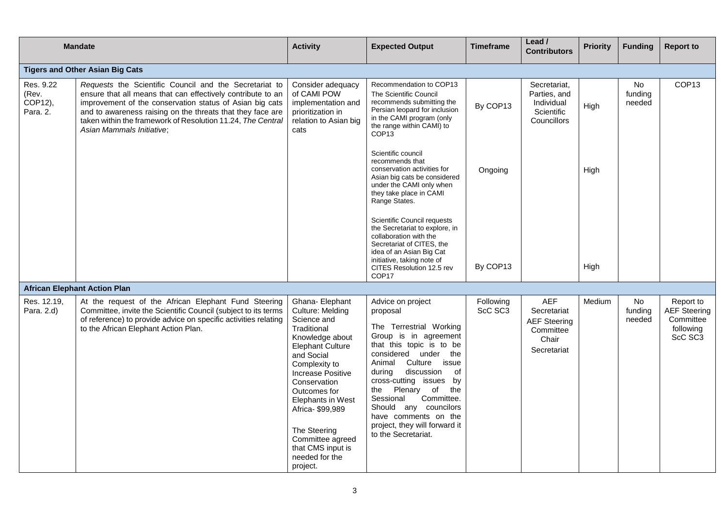|                                           | <b>Mandate</b>                                                                                                                                                                                                                                                                                                                              | <b>Activity</b>                                                                                                                                                                                                                                                                                                                    | <b>Expected Output</b>                                                                                                                                                                                                                                                                                                                                                                       | <b>Timeframe</b>     | Lead /<br><b>Contributors</b>                                                         | <b>Priority</b> | <b>Funding</b>                 | <b>Report to</b>                                                      |
|-------------------------------------------|---------------------------------------------------------------------------------------------------------------------------------------------------------------------------------------------------------------------------------------------------------------------------------------------------------------------------------------------|------------------------------------------------------------------------------------------------------------------------------------------------------------------------------------------------------------------------------------------------------------------------------------------------------------------------------------|----------------------------------------------------------------------------------------------------------------------------------------------------------------------------------------------------------------------------------------------------------------------------------------------------------------------------------------------------------------------------------------------|----------------------|---------------------------------------------------------------------------------------|-----------------|--------------------------------|-----------------------------------------------------------------------|
|                                           | <b>Tigers and Other Asian Big Cats</b>                                                                                                                                                                                                                                                                                                      |                                                                                                                                                                                                                                                                                                                                    |                                                                                                                                                                                                                                                                                                                                                                                              |                      |                                                                                       |                 |                                |                                                                       |
| Res. 9.22<br>(Rev.<br>COP12),<br>Para. 2. | Requests the Scientific Council and the Secretariat to<br>ensure that all means that can effectively contribute to an<br>improvement of the conservation status of Asian big cats<br>and to awareness raising on the threats that they face are<br>taken within the framework of Resolution 11.24, The Central<br>Asian Mammals Initiative; | Consider adequacy<br>of CAMI POW<br>implementation and<br>prioritization in<br>relation to Asian big<br>cats                                                                                                                                                                                                                       | Recommendation to COP13<br>The Scientific Council<br>recommends submitting the<br>Persian leopard for inclusion<br>in the CAMI program (only<br>the range within CAMI) to<br>COP <sub>13</sub>                                                                                                                                                                                               | By COP13             | Secretariat.<br>Parties, and<br>Individual<br>Scientific<br>Councillors               | High            | <b>No</b><br>funding<br>needed | COP <sub>13</sub>                                                     |
|                                           |                                                                                                                                                                                                                                                                                                                                             |                                                                                                                                                                                                                                                                                                                                    | Scientific council<br>recommends that<br>conservation activities for<br>Asian big cats be considered<br>under the CAMI only when<br>they take place in CAMI<br>Range States.                                                                                                                                                                                                                 | Ongoing              |                                                                                       | High            |                                |                                                                       |
|                                           |                                                                                                                                                                                                                                                                                                                                             |                                                                                                                                                                                                                                                                                                                                    | Scientific Council requests<br>the Secretariat to explore, in<br>collaboration with the<br>Secretariat of CITES, the<br>idea of an Asian Big Cat<br>initiative, taking note of<br>CITES Resolution 12.5 rev                                                                                                                                                                                  | By COP13             |                                                                                       | High            |                                |                                                                       |
|                                           | <b>African Elephant Action Plan</b>                                                                                                                                                                                                                                                                                                         |                                                                                                                                                                                                                                                                                                                                    | COP <sub>17</sub>                                                                                                                                                                                                                                                                                                                                                                            |                      |                                                                                       |                 |                                |                                                                       |
| Res. 12.19,<br>Para. 2.d)                 | At the request of the African Elephant Fund Steering<br>Committee, invite the Scientific Council (subject to its terms<br>of reference) to provide advice on specific activities relating<br>to the African Elephant Action Plan.                                                                                                           | Ghana- Elephant<br>Culture: Melding<br>Science and<br>Traditional<br>Knowledge about<br><b>Elephant Culture</b><br>and Social<br>Complexity to<br>Increase Positive<br>Conservation<br>Outcomes for<br>Elephants in West<br>Africa-\$99,989<br>The Steering<br>Committee agreed<br>that CMS input is<br>needed for the<br>project. | Advice on project<br>proposal<br>The Terrestrial Working<br>Group is in agreement<br>that this topic is to be<br>considered under<br>the<br>Animal<br>Culture<br>issue<br>discussion<br>0f<br>during<br>cross-cutting issues by<br>the<br>the Plenary of<br>Committee.<br>Sessional<br>Should any councilors<br>have comments on the<br>project, they will forward it<br>to the Secretariat. | Following<br>ScC SC3 | <b>AEF</b><br>Secretariat<br><b>AEF Steering</b><br>Committee<br>Chair<br>Secretariat | Medium          | No.<br>funding<br>needed       | Report to<br><b>AEF</b> Steering<br>Committee<br>following<br>ScC SC3 |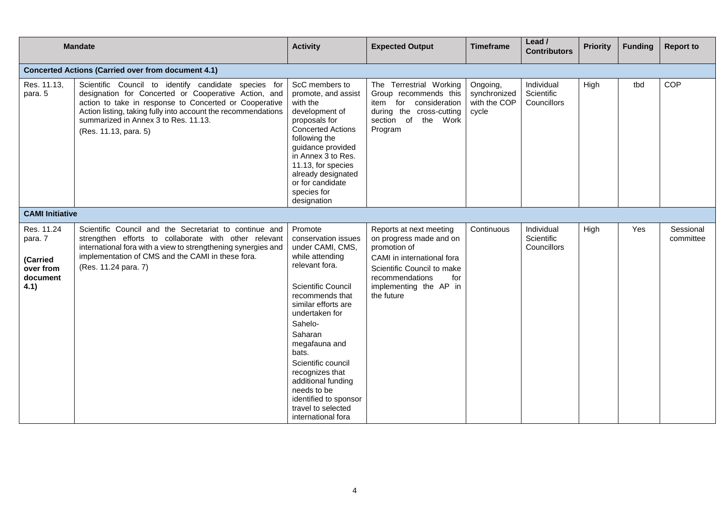| <b>Mandate</b>                                                     |                                                                                                                                                                                                                                                                                                          | <b>Activity</b>                                                                                                                                                                                                                                                                                                                                                                     | <b>Expected Output</b>                                                                                                                                                                           | <b>Timeframe</b>                                  | Lead /<br><b>Contributors</b>                  | <b>Priority</b> | <b>Funding</b> | <b>Report to</b>       |
|--------------------------------------------------------------------|----------------------------------------------------------------------------------------------------------------------------------------------------------------------------------------------------------------------------------------------------------------------------------------------------------|-------------------------------------------------------------------------------------------------------------------------------------------------------------------------------------------------------------------------------------------------------------------------------------------------------------------------------------------------------------------------------------|--------------------------------------------------------------------------------------------------------------------------------------------------------------------------------------------------|---------------------------------------------------|------------------------------------------------|-----------------|----------------|------------------------|
|                                                                    | <b>Concerted Actions (Carried over from document 4.1)</b>                                                                                                                                                                                                                                                |                                                                                                                                                                                                                                                                                                                                                                                     |                                                                                                                                                                                                  |                                                   |                                                |                 |                |                        |
| Res. 11.13,<br>para. 5                                             | Scientific Council to identify candidate species for<br>designation for Concerted or Cooperative Action, and<br>action to take in response to Concerted or Cooperative<br>Action listing, taking fully into account the recommendations<br>summarized in Annex 3 to Res. 11.13.<br>(Res. 11.13, para. 5) | ScC members to<br>promote, and assist<br>with the<br>development of<br>proposals for<br><b>Concerted Actions</b><br>following the<br>guidance provided<br>in Annex 3 to Res.<br>11.13, for species<br>already designated<br>or for candidate<br>species for<br>designation                                                                                                          | The Terrestrial Working<br>Group recommends this<br>item for<br>consideration<br>during the cross-cutting<br>section of<br>the Work<br>Program                                                   | Ongoing,<br>synchronized<br>with the COP<br>cycle | Individual<br>Scientific<br>Councillors        | High            | tbd            | COP                    |
| <b>CAMI Initiative</b>                                             |                                                                                                                                                                                                                                                                                                          |                                                                                                                                                                                                                                                                                                                                                                                     |                                                                                                                                                                                                  |                                                   |                                                |                 |                |                        |
| Res. 11.24<br>para. 7<br>(Carried<br>over from<br>document<br>4.1) | Scientific Council and the Secretariat to continue and<br>strengthen efforts to collaborate with other relevant<br>international fora with a view to strengthening synergies and<br>implementation of CMS and the CAMI in these fora.<br>(Res. 11.24 para. 7)                                            | Promote<br>conservation issues<br>under CAMI, CMS,<br>while attending<br>relevant fora.<br><b>Scientific Council</b><br>recommends that<br>similar efforts are<br>undertaken for<br>Sahelo-<br>Saharan<br>megafauna and<br>bats.<br>Scientific council<br>recognizes that<br>additional funding<br>needs to be<br>identified to sponsor<br>travel to selected<br>international fora | Reports at next meeting<br>on progress made and on<br>promotion of<br>CAMI in international fora<br>Scientific Council to make<br>recommendations<br>for<br>implementing the AP in<br>the future | Continuous                                        | Individual<br>Scientific<br><b>Councillors</b> | High            | Yes            | Sessional<br>committee |